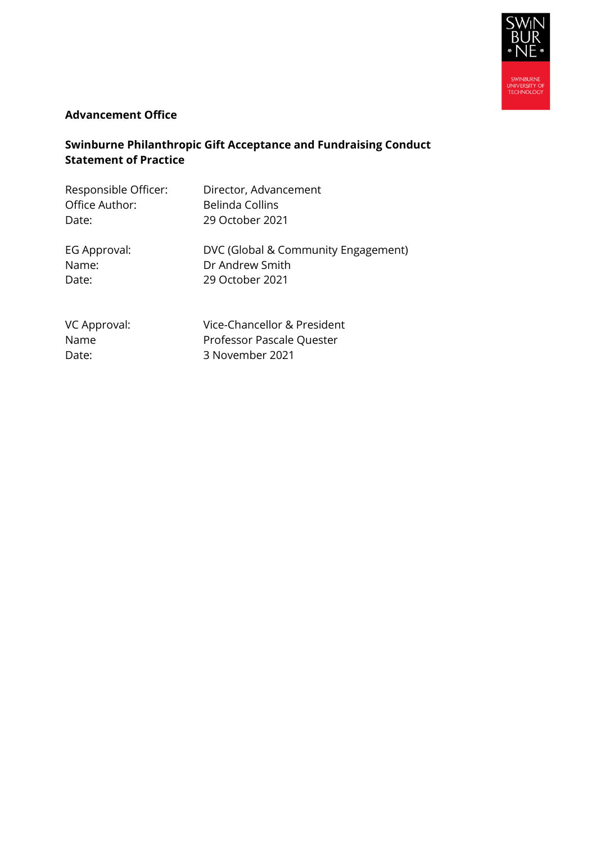

#### **Advancement Office**

# **Swinburne Philanthropic Gift Acceptance and Fundraising Conduct Statement of Practice**

| Responsible Officer: | Director, Advancement               |
|----------------------|-------------------------------------|
| Office Author:       | <b>Belinda Collins</b>              |
| Date:                | 29 October 2021                     |
| EG Approval:         | DVC (Global & Community Engagement) |
| Name:                | Dr Andrew Smith                     |
| Date:                | 29 October 2021                     |
| VC Approval:         | Vice-Chancellor & President         |
| Name                 | Professor Pascale Quester           |

Date: 3 November 2021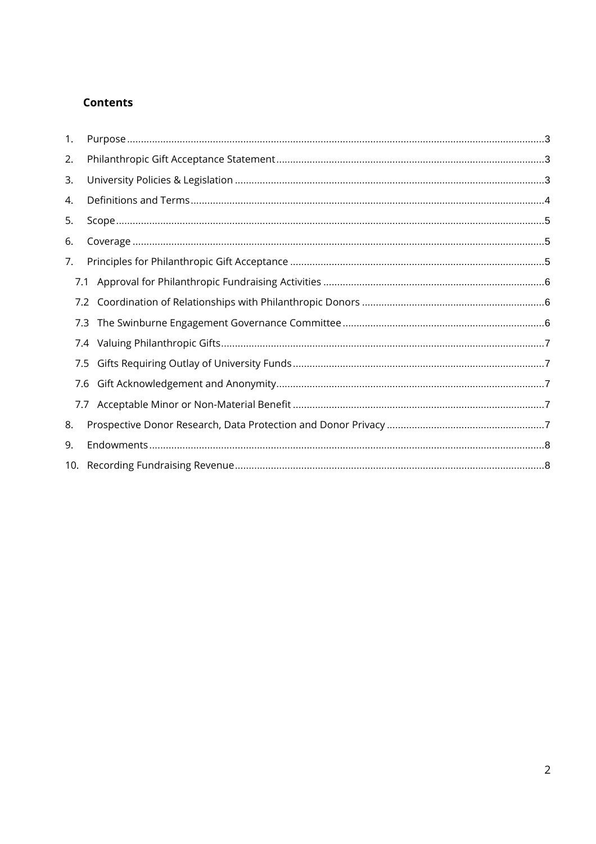#### **Contents**

| 1. |     |     |  |
|----|-----|-----|--|
| 2. |     |     |  |
| 3. |     |     |  |
| 4. |     |     |  |
| 5. |     |     |  |
| 6. |     |     |  |
| 7. |     |     |  |
|    | 7.1 |     |  |
|    |     | 7.2 |  |
|    |     |     |  |
|    |     |     |  |
|    |     | 7.5 |  |
|    |     | 7.6 |  |
|    |     |     |  |
| 8. |     |     |  |
| 9. |     |     |  |
|    |     |     |  |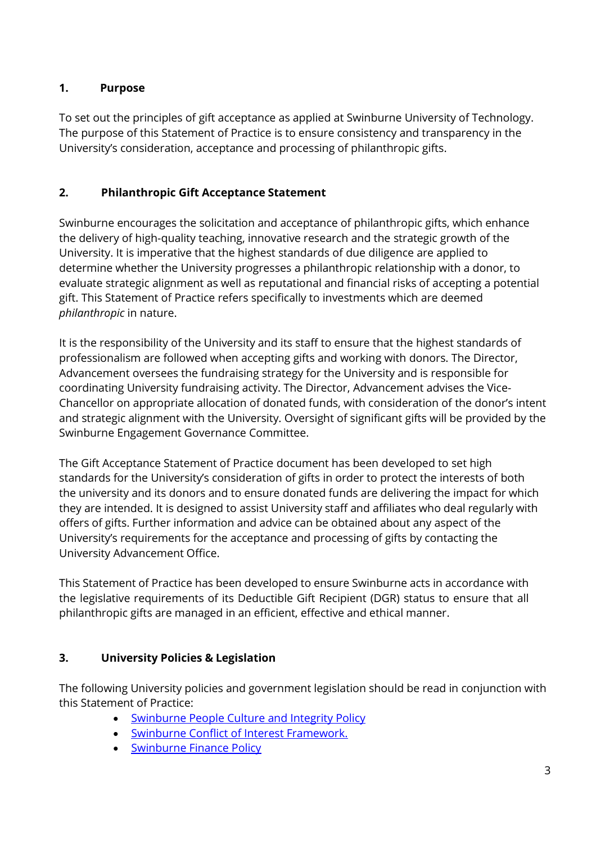## <span id="page-2-0"></span>**1. Purpose**

To set out the principles of gift acceptance as applied at Swinburne University of Technology. The purpose of this Statement of Practice is to ensure consistency and transparency in the University's consideration, acceptance and processing of philanthropic gifts.

# <span id="page-2-1"></span>**2. Philanthropic Gift Acceptance Statement**

Swinburne encourages the solicitation and acceptance of philanthropic gifts, which enhance the delivery of high-quality teaching, innovative research and the strategic growth of the University. It is imperative that the highest standards of due diligence are applied to determine whether the University progresses a philanthropic relationship with a donor, to evaluate strategic alignment as well as reputational and financial risks of accepting a potential gift. This Statement of Practice refers specifically to investments which are deemed *philanthropic* in nature.

It is the responsibility of the University and its staff to ensure that the highest standards of professionalism are followed when accepting gifts and working with donors. The Director, Advancement oversees the fundraising strategy for the University and is responsible for coordinating University fundraising activity. The Director, Advancement advises the Vice-Chancellor on appropriate allocation of donated funds, with consideration of the donor's intent and strategic alignment with the University. Oversight of significant gifts will be provided by the Swinburne Engagement Governance Committee.

The Gift Acceptance Statement of Practice document has been developed to set high standards for the University's consideration of gifts in order to protect the interests of both the university and its donors and to ensure donated funds are delivering the impact for which they are intended. It is designed to assist University staff and affiliates who deal regularly with offers of gifts. Further information and advice can be obtained about any aspect of the University's requirements for the acceptance and processing of gifts by contacting the University Advancement Office.

This Statement of Practice has been developed to ensure Swinburne acts in accordance with the legislative requirements of its Deductible Gift Recipient (DGR) status to ensure that all philanthropic gifts are managed in an efficient, effective and ethical manner.

# <span id="page-2-2"></span>**3. University Policies & Legislation**

The following University policies and government legislation should be read in conjunction with this Statement of Practice:

- **[Swinburne People Culture and Integrity](http://www.swinburne.edu.au/policies/hr/integrity.html) Policy**
- [Swinburne Conflict of Interest Framework.](https://www.swinburne.edu.au/media/swinburneeduau/policies/docs/Swinburne-Conflict-of-Interest-Framework.pdf)
- [Swinburne Finance](http://www.swinburne.edu.au/policies/finance/index.html) Policy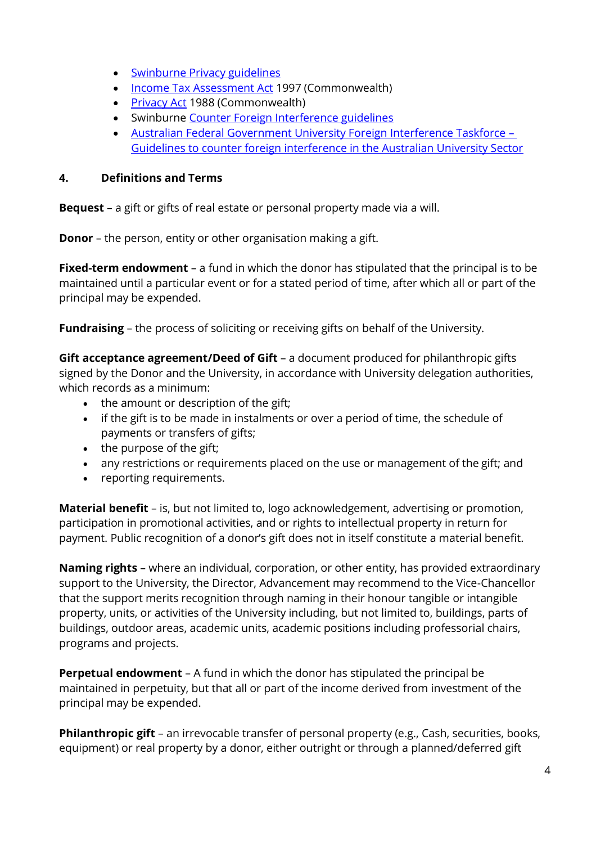- [Swinburne Privacy](http://www.swinburne.edu.au/disclaimer/privacy/) guidelines
- [Income Tax Assessment Act](http://www.austlii.edu.au/au/legis/cth/consol_act/itaa1997240/) 1997 (Commonwealth)
- [Privacy Act](http://www.austlii.edu.au/au/legis/cth/consol_act/pa1988108/) 1988 (Commonwealth)
- Swinburne [Counter Foreign Interference guidelines](https://www.swinburne.edu.au/intranet/research/international-research-partnerships/foreign-interference/)
- [Australian Federal Government University Foreign Interference Taskforce](https://www.dese.gov.au/guidelines-counter-foreign-interference-australian-university-sector/resources/guidelines-counter-foreign-interference-australian-university-sector)  [Guidelines to counter foreign interference in the Australian University Sector](https://www.dese.gov.au/guidelines-counter-foreign-interference-australian-university-sector/resources/guidelines-counter-foreign-interference-australian-university-sector)

#### <span id="page-3-0"></span>**4. Definitions and Terms**

**Bequest** – a gift or gifts of real estate or personal property made via a will.

**Donor** – the person, entity or other organisation making a gift.

**Fixed-term endowment** – a fund in which the donor has stipulated that the principal is to be maintained until a particular event or for a stated period of time, after which all or part of the principal may be expended.

**Fundraising** – the process of soliciting or receiving gifts on behalf of the University.

**Gift acceptance agreement/Deed of Gift** – a document produced for philanthropic gifts signed by the Donor and the University, in accordance with University delegation authorities, which records as a minimum:

- the amount or description of the gift;
- if the gift is to be made in instalments or over a period of time, the schedule of payments or transfers of gifts;
- the purpose of the gift;
- any restrictions or requirements placed on the use or management of the gift; and
- reporting requirements.

**Material benefit** – is, but not limited to, logo acknowledgement, advertising or promotion, participation in promotional activities, and or rights to intellectual property in return for payment. Public recognition of a donor's gift does not in itself constitute a material benefit.

**Naming rights** – where an individual, corporation, or other entity, has provided extraordinary support to the University, the Director, Advancement may recommend to the Vice-Chancellor that the support merits recognition through naming in their honour tangible or intangible property, units, or activities of the University including, but not limited to, buildings, parts of buildings, outdoor areas, academic units, academic positions including professorial chairs, programs and projects.

**Perpetual endowment** – A fund in which the donor has stipulated the principal be maintained in perpetuity, but that all or part of the income derived from investment of the principal may be expended.

**Philanthropic gift** – an irrevocable transfer of personal property (e.g., Cash, securities, books, equipment) or real property by a donor, either outright or through a planned/deferred gift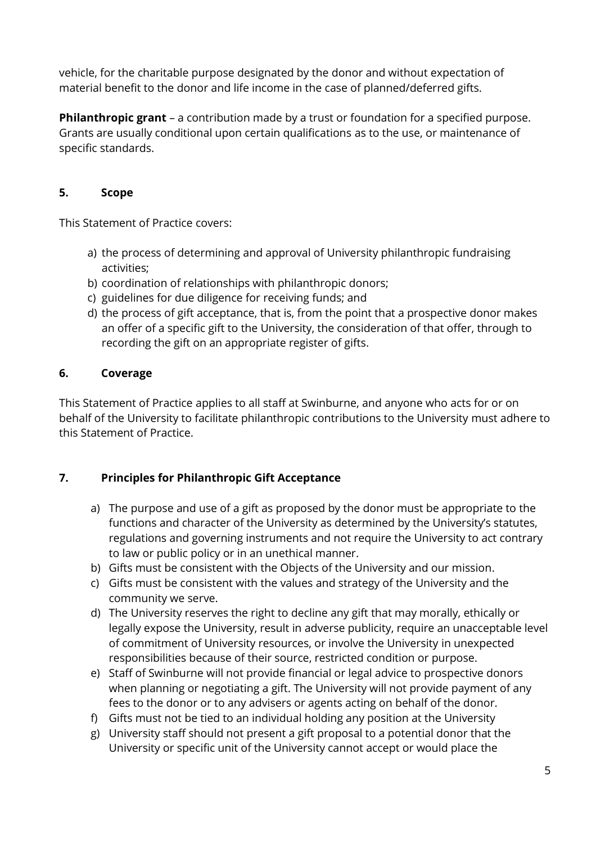vehicle, for the charitable purpose designated by the donor and without expectation of material benefit to the donor and life income in the case of planned/deferred gifts.

**Philanthropic grant** – a contribution made by a trust or foundation for a specified purpose. Grants are usually conditional upon certain qualifications as to the use, or maintenance of specific standards.

### <span id="page-4-0"></span>**5. Scope**

This Statement of Practice covers:

- a) the process of determining and approval of University philanthropic fundraising activities;
- b) coordination of relationships with philanthropic donors;
- c) guidelines for due diligence for receiving funds; and
- d) the process of gift acceptance, that is, from the point that a prospective donor makes an offer of a specific gift to the University, the consideration of that offer, through to recording the gift on an appropriate register of gifts.

#### <span id="page-4-1"></span>**6. Coverage**

This Statement of Practice applies to all staff at Swinburne, and anyone who acts for or on behalf of the University to facilitate philanthropic contributions to the University must adhere to this Statement of Practice.

## <span id="page-4-2"></span>**7. Principles for Philanthropic Gift Acceptance**

- a) The purpose and use of a gift as proposed by the donor must be appropriate to the functions and character of the University as determined by the University's statutes, regulations and governing instruments and not require the University to act contrary to law or public policy or in an unethical manner.
- b) Gifts must be consistent with the Objects of the University and our mission.
- c) Gifts must be consistent with the values and strategy of the University and the community we serve.
- d) The University reserves the right to decline any gift that may morally, ethically or legally expose the University, result in adverse publicity, require an unacceptable level of commitment of University resources, or involve the University in unexpected responsibilities because of their source, restricted condition or purpose.
- e) Staff of Swinburne will not provide financial or legal advice to prospective donors when planning or negotiating a gift. The University will not provide payment of any fees to the donor or to any advisers or agents acting on behalf of the donor.
- f) Gifts must not be tied to an individual holding any position at the University
- g) University staff should not present a gift proposal to a potential donor that the University or specific unit of the University cannot accept or would place the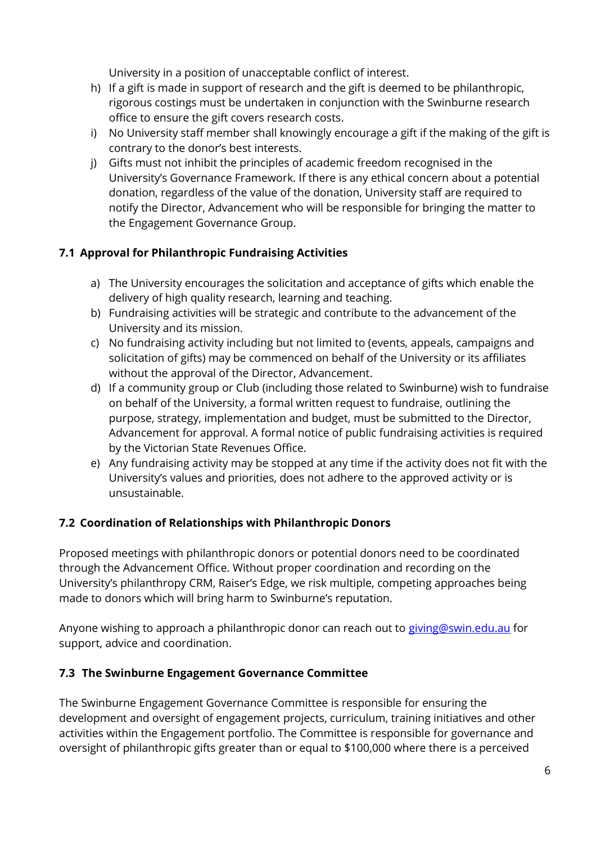University in a position of unacceptable conflict of interest.

- h) If a gift is made in support of research and the gift is deemed to be philanthropic, rigorous costings must be undertaken in conjunction with the Swinburne research office to ensure the gift covers research costs.
- i) No University staff member shall knowingly encourage a gift if the making of the gift is contrary to the donor's best interests.
- j) Gifts must not inhibit the principles of academic freedom recognised in the University's Governance Framework. If there is any ethical concern about a potential donation, regardless of the value of the donation, University staff are required to notify the Director, Advancement who will be responsible for bringing the matter to the Engagement Governance Group.

## <span id="page-5-0"></span>**7.1 Approval for Philanthropic Fundraising Activities**

- a) The University encourages the solicitation and acceptance of gifts which enable the delivery of high quality research, learning and teaching.
- b) Fundraising activities will be strategic and contribute to the advancement of the University and its mission.
- c) No fundraising activity including but not limited to (events, appeals, campaigns and solicitation of gifts) may be commenced on behalf of the University or its affiliates without the approval of the Director, Advancement.
- d) If a community group or Club (including those related to Swinburne) wish to fundraise on behalf of the University, a formal written request to fundraise, outlining the purpose, strategy, implementation and budget, must be submitted to the Director, Advancement for approval. A formal notice of public fundraising activities is required by the Victorian State Revenues Office.
- e) Any fundraising activity may be stopped at any time if the activity does not fit with the University's values and priorities, does not adhere to the approved activity or is unsustainable.

## <span id="page-5-1"></span>**7.2 Coordination of Relationships with Philanthropic Donors**

Proposed meetings with philanthropic donors or potential donors need to be coordinated through the Advancement Office. Without proper coordination and recording on the University's philanthropy CRM, Raiser's Edge, we risk multiple, competing approaches being made to donors which will bring harm to Swinburne's reputation.

Anyone wishing to approach a philanthropic donor can reach out to [giving@swin.edu.au](mailto:giving@swin.edu.au) for support, advice and coordination.

#### <span id="page-5-2"></span>**7.3 The Swinburne Engagement Governance Committee**

The Swinburne Engagement Governance Committee is responsible for ensuring the development and oversight of engagement projects, curriculum, training initiatives and other activities within the Engagement portfolio. The Committee is responsible for governance and oversight of philanthropic gifts greater than or equal to \$100,000 where there is a perceived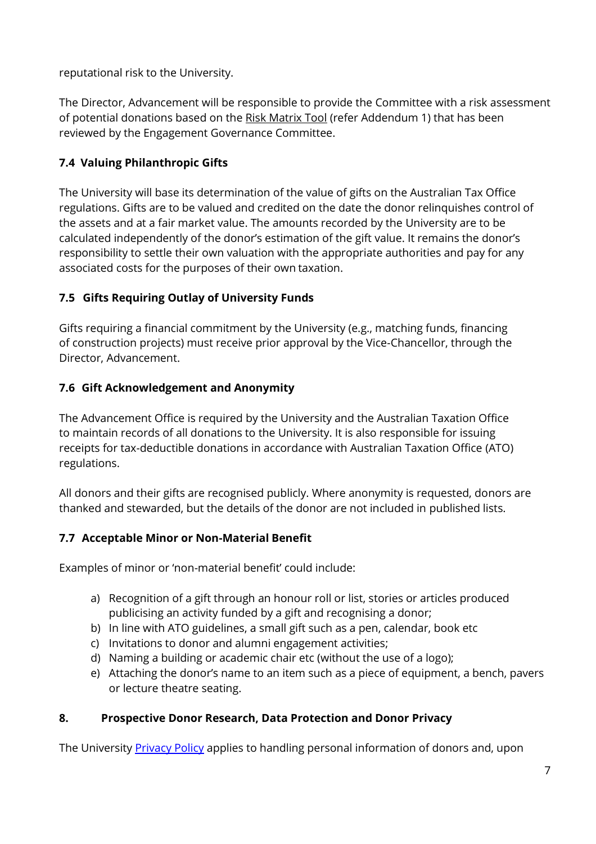reputational risk to the University.

The Director, Advancement will be responsible to provide the Committee with a risk assessment of potential donations based on the Risk Matrix Tool (refer Addendum 1) that has been reviewed by the Engagement Governance Committee.

## <span id="page-6-0"></span>**7.4 Valuing Philanthropic Gifts**

The University will base its determination of the value of gifts on the Australian Tax Office regulations. Gifts are to be valued and credited on the date the donor relinquishes control of the assets and at a fair market value. The amounts recorded by the University are to be calculated independently of the donor's estimation of the gift value. It remains the donor's responsibility to settle their own valuation with the appropriate authorities and pay for any associated costs for the purposes of their own taxation.

## <span id="page-6-1"></span>**7.5 Gifts Requiring Outlay of University Funds**

Gifts requiring a financial commitment by the University (e.g., matching funds, financing of construction projects) must receive prior approval by the Vice-Chancellor, through the Director, Advancement.

## <span id="page-6-2"></span>**7.6 Gift Acknowledgement and Anonymity**

The Advancement Office is required by the University and the Australian Taxation Office to maintain records of all donations to the University. It is also responsible for issuing receipts for tax-deductible donations in accordance with Australian Taxation Office (ATO) regulations.

All donors and their gifts are recognised publicly. Where anonymity is requested, donors are thanked and stewarded, but the details of the donor are not included in published lists.

## <span id="page-6-3"></span>**7.7 Acceptable Minor or Non-Material Benefit**

Examples of minor or 'non-material benefit' could include:

- a) Recognition of a gift through an honour roll or list, stories or articles produced publicising an activity funded by a gift and recognising a donor;
- b) In line with ATO guidelines, a small gift such as a pen, calendar, book etc
- c) Invitations to donor and alumni engagement activities;
- d) Naming a building or academic chair etc (without the use of a logo);
- e) Attaching the donor's name to an item such as a piece of equipment, a bench, pavers or lecture theatre seating.

## <span id="page-6-4"></span>**8. Prospective Donor Research, Data Protection and Donor Privacy**

The University **Privacy Policy** applies to handling personal information of donors and, upon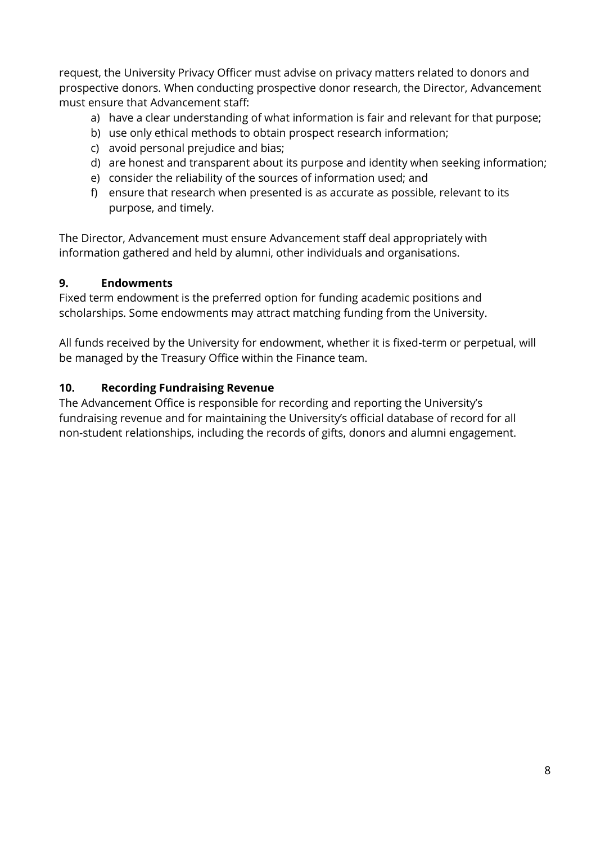request, the University Privacy Officer must advise on privacy matters related to donors and prospective donors. When conducting prospective donor research, the Director, Advancement must ensure that Advancement staff:

- a) have a clear understanding of what information is fair and relevant for that purpose;
- b) use only ethical methods to obtain prospect research information;
- c) avoid personal prejudice and bias;
- d) are honest and transparent about its purpose and identity when seeking information;
- e) consider the reliability of the sources of information used; and
- f) ensure that research when presented is as accurate as possible, relevant to its purpose, and timely.

The Director, Advancement must ensure Advancement staff deal appropriately with information gathered and held by alumni, other individuals and organisations.

#### <span id="page-7-0"></span>**9. Endowments**

Fixed term endowment is the preferred option for funding academic positions and scholarships. Some endowments may attract matching funding from the University.

All funds received by the University for endowment, whether it is fixed-term or perpetual, will be managed by the Treasury Office within the Finance team.

#### <span id="page-7-1"></span>**10. Recording Fundraising Revenue**

The Advancement Office is responsible for recording and reporting the University's fundraising revenue and for maintaining the University's official database of record for all non-student relationships, including the records of gifts, donors and alumni engagement.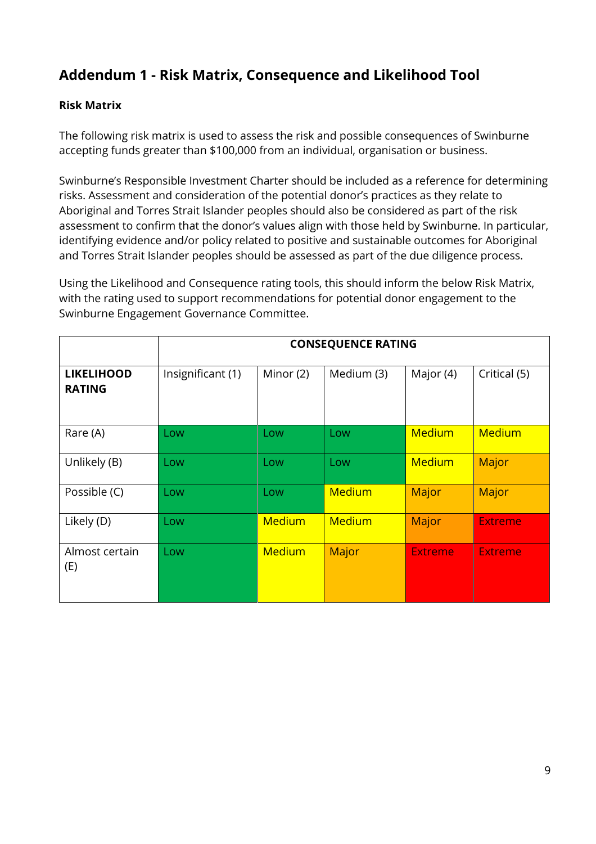# **Addendum 1 - Risk Matrix, Consequence and Likelihood Tool**

#### **Risk Matrix**

The following risk matrix is used to assess the risk and possible consequences of Swinburne accepting funds greater than \$100,000 from an individual, organisation or business.

Swinburne's Responsible Investment Charter should be included as a reference for determining risks. Assessment and consideration of the potential donor's practices as they relate to Aboriginal and Torres Strait Islander peoples should also be considered as part of the risk assessment to confirm that the donor's values align with those held by Swinburne. In particular, identifying evidence and/or policy related to positive and sustainable outcomes for Aboriginal and Torres Strait Islander peoples should be assessed as part of the due diligence process.

Using the Likelihood and Consequence rating tools, this should inform the below Risk Matrix, with the rating used to support recommendations for potential donor engagement to the Swinburne Engagement Governance Committee.

|                                    | <b>CONSEQUENCE RATING</b> |               |               |                |                |
|------------------------------------|---------------------------|---------------|---------------|----------------|----------------|
| <b>LIKELIHOOD</b><br><b>RATING</b> | Insignificant (1)         | Minor (2)     | Medium (3)    | Major (4)      | Critical (5)   |
| Rare (A)                           | Low                       | Low           | Low           | <b>Medium</b>  | <b>Medium</b>  |
| Unlikely (B)                       | Low                       | Low           | Low           | <b>Medium</b>  | Major          |
| Possible (C)                       | Low                       | Low           | <b>Medium</b> | Major          | Major          |
| Likely (D)                         | Low                       | <b>Medium</b> | <b>Medium</b> | Major          | <b>Extreme</b> |
| Almost certain<br>(E)              | Low                       | <b>Medium</b> | Major         | <b>Extreme</b> | <b>Extreme</b> |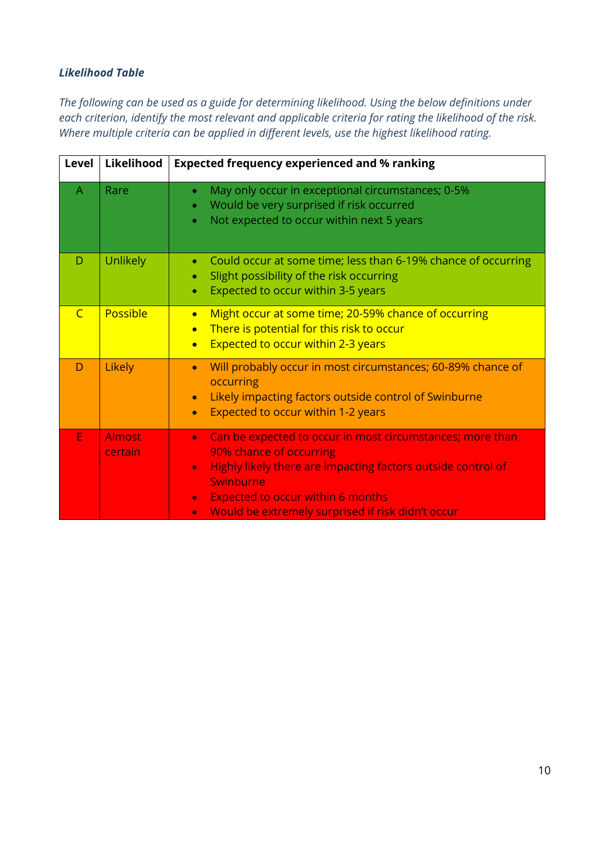#### *Likelihood Table*

*The following can be used as a guide for determining likelihood. Using the below definitions under each criterion, identify the most relevant and applicable criteria for rating the likelihood of the risk. Where multiple criteria can be applied in different levels, use the highest likelihood rating.*

| Level          | Likelihood               | <b>Expected frequency experienced and % ranking</b>                                                                                                                                                                                                                                                                    |  |
|----------------|--------------------------|------------------------------------------------------------------------------------------------------------------------------------------------------------------------------------------------------------------------------------------------------------------------------------------------------------------------|--|
| $\overline{A}$ | Rare                     | May only occur in exceptional circumstances; 0-5%<br>$\bullet$<br>Would be very surprised if risk occurred<br>$\bullet$<br>Not expected to occur within next 5 years<br>$\bullet$                                                                                                                                      |  |
| D              | <b>Unlikely</b>          | Could occur at some time; less than 6-19% chance of occurring<br>$\bullet$<br>Slight possibility of the risk occurring<br>$\bullet$<br>Expected to occur within 3-5 years<br>$\bullet$                                                                                                                                 |  |
| $\overline{C}$ | Possible                 | Might occur at some time; 20-59% chance of occurring<br>$\bullet$<br>There is potential for this risk to occur<br>$\bullet$<br><b>Expected to occur within 2-3 years</b><br>$\bullet$                                                                                                                                  |  |
| D              | Likely                   | Will probably occur in most circumstances; 60-89% chance of<br>$\bullet$<br>occurring<br>Likely impacting factors outside control of Swinburne<br>$\bullet$<br>Expected to occur within 1-2 years<br>$\bullet$                                                                                                         |  |
| E              | <b>Almost</b><br>certain | Can be expected to occur in most circumstances; more than<br>$\bullet$<br>90% chance of occurring<br>Highly likely there are impacting factors outside control of<br>$\bullet$<br>Swinburne<br><b>Expected to occur within 6 months</b><br>$\bullet$<br>Would be extremely surprised if risk didn't occur<br>$\bullet$ |  |